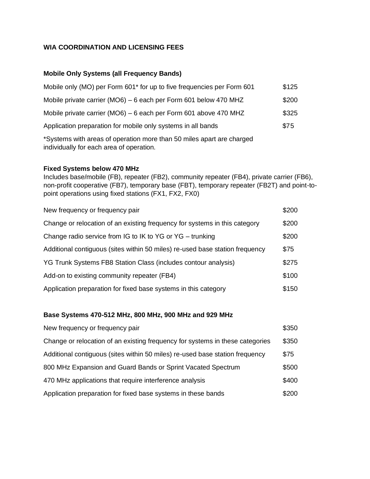## **WIA COORDINATION AND LICENSING FEES**

## **Mobile Only Systems (all Frequency Bands)**

| Mobile only (MO) per Form 601 <sup>*</sup> for up to five frequencies per Form 601                                | \$125 |
|-------------------------------------------------------------------------------------------------------------------|-------|
| Mobile private carrier (MO6) – 6 each per Form 601 below 470 MHZ                                                  | \$200 |
| Mobile private carrier (MO6) – 6 each per Form 601 above 470 MHZ                                                  | \$325 |
| Application preparation for mobile only systems in all bands                                                      | \$75  |
| *Systems with areas of operation more than 50 miles apart are charged<br>individually for each area of operation. |       |

#### **Fixed Systems below 470 MHz**

Includes base/mobile (FB), repeater (FB2), community repeater (FB4), private carrier (FB6), non-profit cooperative (FB7), temporary base (FBT), temporary repeater (FB2T) and point-topoint operations using fixed stations (FX1, FX2, FX0)

| New frequency or frequency pair                                              | \$200 |
|------------------------------------------------------------------------------|-------|
| Change or relocation of an existing frequency for systems in this category   | \$200 |
| Change radio service from IG to IK to YG or YG - trunking                    | \$200 |
| Additional contiguous (sites within 50 miles) re-used base station frequency | \$75  |
| YG Trunk Systems FB8 Station Class (includes contour analysis)               | \$275 |
| Add-on to existing community repeater (FB4)                                  | \$100 |
| Application preparation for fixed base systems in this category              | \$150 |

## **Base Systems 470-512 MHz, 800 MHz, 900 MHz and 929 MHz**

| New frequency or frequency pair                                               | \$350 |
|-------------------------------------------------------------------------------|-------|
| Change or relocation of an existing frequency for systems in these categories | \$350 |
| Additional contiguous (sites within 50 miles) re-used base station frequency  | \$75  |
| 800 MHz Expansion and Guard Bands or Sprint Vacated Spectrum                  | \$500 |
| 470 MHz applications that require interference analysis                       | \$400 |
| Application preparation for fixed base systems in these bands                 | \$200 |